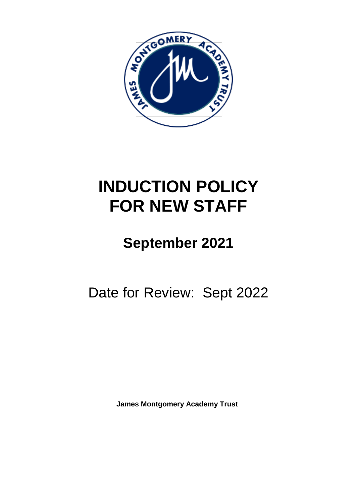

# **INDUCTION POLICY FOR NEW STAFF**

## **September 2021**

Date for Review: Sept 2022

**James Montgomery Academy Trust**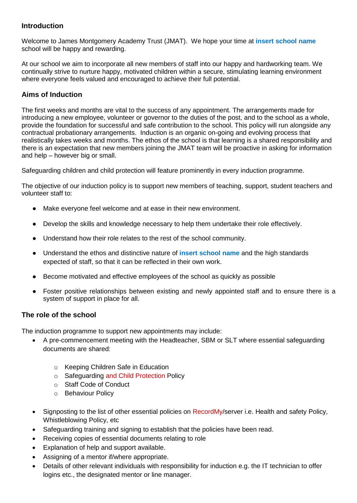## **Introduction**

Welcome to James Montgomery Academy Trust (JMAT). We hope your time at **insert school name** school will be happy and rewarding.

At our school we aim to incorporate all new members of staff into our happy and hardworking team. We continually strive to nurture happy, motivated children within a secure, stimulating learning environment where everyone feels valued and encouraged to achieve their full potential.

## **Aims of Induction**

The first weeks and months are vital to the success of any appointment. The arrangements made for introducing a new employee, volunteer or governor to the duties of the post, and to the school as a whole, provide the foundation for successful and safe contribution to the school. This policy will run alongside any contractual probationary arrangements. Induction is an organic on-going and evolving process that realistically takes weeks and months. The ethos of the school is that learning is a shared responsibility and there is an expectation that new members joining the JMAT team will be proactive in asking for information and help – however big or small.

Safeguarding children and child protection will feature prominently in every induction programme.

The objective of our induction policy is to support new members of teaching, support, student teachers and volunteer staff to:

- Make everyone feel welcome and at ease in their new environment.
- Develop the skills and knowledge necessary to help them undertake their role effectively.
- Understand how their role relates to the rest of the school community.
- Understand the ethos and distinctive nature of **insert school name** and the high standards expected of staff, so that it can be reflected in their own work.
- Become motivated and effective employees of the school as quickly as possible
- Foster positive relationships between existing and newly appointed staff and to ensure there is a system of support in place for all.

## **The role of the school**

The induction programme to support new appointments may include:

- A pre-commencement meeting with the Headteacher, SBM or SLT where essential safeguarding documents are shared:
	- o Keeping Children Safe in Education
	- o Safeguarding and Child Protection Policy
	- o Staff Code of Conduct
	- o Behaviour Policy
- Signposting to the list of other essential policies on RecordMy/server i.e. Health and safety Policy, Whistleblowing Policy, etc
- Safeguarding training and signing to establish that the policies have been read.
- Receiving copies of essential documents relating to role
- Explanation of help and support available.
- Assigning of a mentor if/where appropriate.
- Details of other relevant individuals with responsibility for induction e.g. the IT technician to offer logins etc., the designated mentor or line manager.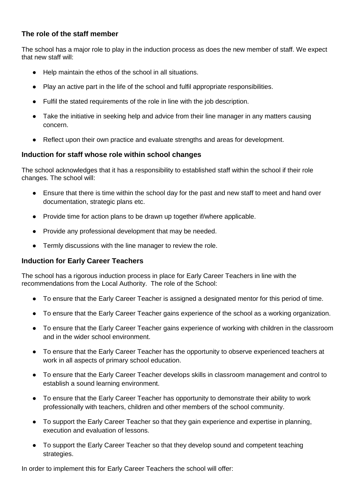## **The role of the staff member**

The school has a major role to play in the induction process as does the new member of staff. We expect that new staff will:

- Help maintain the ethos of the school in all situations.
- Play an active part in the life of the school and fulfil appropriate responsibilities.
- Fulfil the stated requirements of the role in line with the job description.
- Take the initiative in seeking help and advice from their line manager in any matters causing concern.
- Reflect upon their own practice and evaluate strengths and areas for development.

## **Induction for staff whose role within school changes**

The school acknowledges that it has a responsibility to established staff within the school if their role changes. The school will:

- Ensure that there is time within the school day for the past and new staff to meet and hand over documentation, strategic plans etc.
- Provide time for action plans to be drawn up together if/where applicable.
- Provide any professional development that may be needed.
- Termly discussions with the line manager to review the role.

## **Induction for Early Career Teachers**

The school has a rigorous induction process in place for Early Career Teachers in line with the recommendations from the Local Authority. The role of the School:

- To ensure that the Early Career Teacher is assigned a designated mentor for this period of time.
- To ensure that the Early Career Teacher gains experience of the school as a working organization.
- To ensure that the Early Career Teacher gains experience of working with children in the classroom and in the wider school environment.
- To ensure that the Early Career Teacher has the opportunity to observe experienced teachers at work in all aspects of primary school education.
- To ensure that the Early Career Teacher develops skills in classroom management and control to establish a sound learning environment.
- To ensure that the Early Career Teacher has opportunity to demonstrate their ability to work professionally with teachers, children and other members of the school community.
- To support the Early Career Teacher so that they gain experience and expertise in planning, execution and evaluation of lessons.
- To support the Early Career Teacher so that they develop sound and competent teaching strategies.

In order to implement this for Early Career Teachers the school will offer: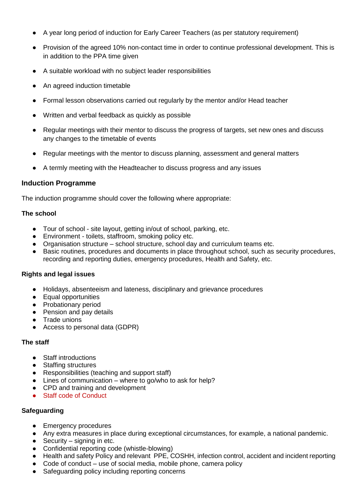- A year long period of induction for Early Career Teachers (as per statutory requirement)
- Provision of the agreed 10% non-contact time in order to continue professional development. This is in addition to the PPA time given
- A suitable workload with no subject leader responsibilities
- An agreed induction timetable
- Formal lesson observations carried out regularly by the mentor and/or Head teacher
- Written and verbal feedback as quickly as possible
- Regular meetings with their mentor to discuss the progress of targets, set new ones and discuss any changes to the timetable of events
- Regular meetings with the mentor to discuss planning, assessment and general matters
- A termly meeting with the Headteacher to discuss progress and any issues

## **Induction Programme**

The induction programme should cover the following where appropriate:

## **The school**

- Tour of school site layout, getting in/out of school, parking, etc.
- Environment toilets, staffroom, smoking policy etc.
- Organisation structure school structure, school day and curriculum teams etc.
- Basic routines, procedures and documents in place throughout school, such as security procedures, recording and reporting duties, emergency procedures, Health and Safety, etc.

#### **Rights and legal issues**

- Holidays, absenteeism and lateness, disciplinary and grievance procedures
- Equal opportunities
- Probationary period
- Pension and pay details
- Trade unions
- Access to personal data (GDPR)

#### **The staff**

- Staff introductions
- Staffing structures
- Responsibilities (teaching and support staff)
- Lines of communication where to go/who to ask for help?
- CPD and training and development
- Staff code of Conduct

## **Safeguarding**

- Emergency procedures
- Any extra measures in place during exceptional circumstances, for example, a national pandemic.
- $\bullet$  Security signing in etc.
- Confidential reporting code (whistle-blowing)
- Health and safety Policy and relevant PPE, COSHH, infection control, accident and incident reporting
- $\bullet$  Code of conduct use of social media, mobile phone, camera policy
- Safeguarding policy including reporting concerns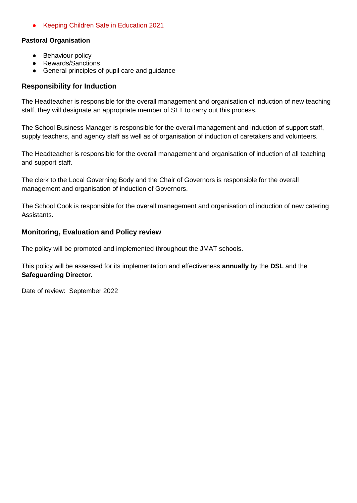● Keeping Children Safe in Education 2021

## **Pastoral Organisation**

- Behaviour policy
- Rewards/Sanctions
- General principles of pupil care and guidance

## **Responsibility for Induction**

The Headteacher is responsible for the overall management and organisation of induction of new teaching staff, they will designate an appropriate member of SLT to carry out this process.

The School Business Manager is responsible for the overall management and induction of support staff, supply teachers, and agency staff as well as of organisation of induction of caretakers and volunteers.

The Headteacher is responsible for the overall management and organisation of induction of all teaching and support staff.

The clerk to the Local Governing Body and the Chair of Governors is responsible for the overall management and organisation of induction of Governors.

The School Cook is responsible for the overall management and organisation of induction of new catering Assistants.

## **Monitoring, Evaluation and Policy review**

The policy will be promoted and implemented throughout the JMAT schools.

This policy will be assessed for its implementation and effectiveness **annually** by the **DSL** and the **Safeguarding Director.**

Date of review: September 2022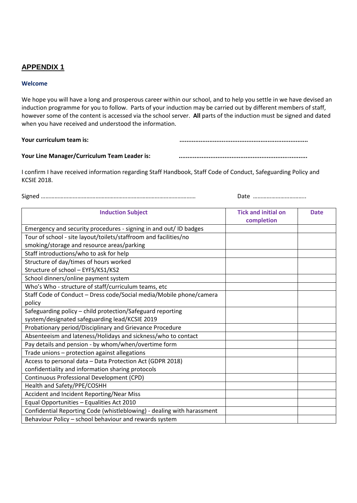## **APPENDIX 1**

#### **Welcome**

We hope you will have a long and prosperous career within our school, and to help you settle in we have devised an induction programme for you to follow. Parts of your induction may be carried out by different members of staff, however some of the content is accessed via the school server. **All** parts of the induction must be signed and dated when you have received and understood the information.

**Your curriculum team is: .........................................................................**

Your Line Manager/Curriculum Team Leader is:

I confirm I have received information regarding Staff Handbook, Staff Code of Conduct, Safeguarding Policy and KCSIE 2018.

Signed ………………………………………………………………………………………… Date ……………………………..

| <b>Induction Subject</b>                                               | <b>Tick and initial on</b><br>completion | <b>Date</b> |
|------------------------------------------------------------------------|------------------------------------------|-------------|
| Emergency and security procedures - signing in and out/ ID badges      |                                          |             |
| Tour of school - site layout/toilets/staffroom and facilities/no       |                                          |             |
| smoking/storage and resource areas/parking                             |                                          |             |
| Staff introductions/who to ask for help                                |                                          |             |
| Structure of day/times of hours worked                                 |                                          |             |
| Structure of school - EYFS/KS1/KS2                                     |                                          |             |
| School dinners/online payment system                                   |                                          |             |
| Who's Who - structure of staff/curriculum teams, etc                   |                                          |             |
| Staff Code of Conduct - Dress code/Social media/Mobile phone/camera    |                                          |             |
| policy                                                                 |                                          |             |
| Safeguarding policy - child protection/Safeguard reporting             |                                          |             |
| system/designated safeguarding lead/KCSIE 2019                         |                                          |             |
| Probationary period/Disciplinary and Grievance Procedure               |                                          |             |
| Absenteeism and lateness/Holidays and sickness/who to contact          |                                          |             |
| Pay details and pension - by whom/when/overtime form                   |                                          |             |
| Trade unions - protection against allegations                          |                                          |             |
| Access to personal data - Data Protection Act (GDPR 2018)              |                                          |             |
| confidentiality and information sharing protocols                      |                                          |             |
| Continuous Professional Development (CPD)                              |                                          |             |
| Health and Safety/PPE/COSHH                                            |                                          |             |
| Accident and Incident Reporting/Near Miss                              |                                          |             |
| Equal Opportunities - Equalities Act 2010                              |                                          |             |
| Confidential Reporting Code (whistleblowing) - dealing with harassment |                                          |             |
| Behaviour Policy - school behaviour and rewards system                 |                                          |             |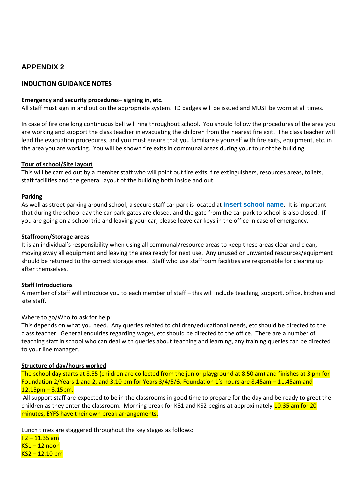## **APPENDIX 2**

### **INDUCTION GUIDANCE NOTES**

#### **Emergency and security procedures– signing in, etc.**

All staff must sign in and out on the appropriate system. ID badges will be issued and MUST be worn at all times.

In case of fire one long continuous bell will ring throughout school. You should follow the procedures of the area you are working and support the class teacher in evacuating the children from the nearest fire exit. The class teacher will lead the evacuation procedures, and you must ensure that you familiarise yourself with fire exits, equipment, etc. in the area you are working. You will be shown fire exits in communal areas during your tour of the building.

#### **Tour of school/Site layout**

This will be carried out by a member staff who will point out fire exits, fire extinguishers, resources areas, toilets, staff facilities and the general layout of the building both inside and out.

#### **Parking**

As well as street parking around school, a secure staff car park is located at **insert school name**. It is important that during the school day the car park gates are closed, and the gate from the car park to school is also closed. If you are going on a school trip and leaving your car, please leave car keys in the office in case of emergency.

#### **Staffroom/Storage areas**

It is an individual's responsibility when using all communal/resource areas to keep these areas clear and clean, moving away all equipment and leaving the area ready for next use. Any unused or unwanted resources/equipment should be returned to the correct storage area. Staff who use staffroom facilities are responsible for clearing up after themselves.

#### **Staff Introductions**

A member of staff will introduce you to each member of staff – this will include teaching, support, office, kitchen and site staff.

#### Where to go/Who to ask for help:

This depends on what you need. Any queries related to children/educational needs, etc should be directed to the class teacher. General enquiries regarding wages, etc should be directed to the office. There are a number of teaching staff in school who can deal with queries about teaching and learning, any training queries can be directed to your line manager.

#### **Structure of day/hours worked**

The school day starts at 8.55 (children are collected from the junior playground at 8.50 am) and finishes at 3 pm for Foundation 2/Years 1 and 2, and 3.10 pm for Years 3/4/5/6. Foundation 1's hours are 8.45am – 11.45am and  $12.15$ pm – 3.15pm.

All support staff are expected to be in the classrooms in good time to prepare for the day and be ready to greet the children as they enter the classroom. Morning break for KS1 and KS2 begins at approximately 10.35 am for 20 minutes, EYFS have their own break arrangements.

Lunch times are staggered throughout the key stages as follows:

 $F2 - 11.35$  am  $KS1 - 12$  noon  $KS2 - 12.10$  pm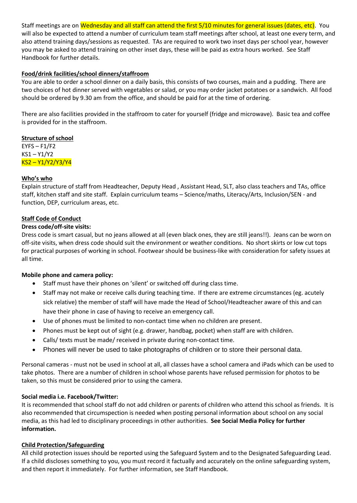Staff meetings are on Wednesday and all staff can attend the first 5/10 minutes for general issues (dates, etc). You will also be expected to attend a number of curriculum team staff meetings after school, at least one every term, and also attend training days/sessions as requested. TAs are required to work two inset days per school year, however you may be asked to attend training on other inset days, these will be paid as extra hours worked. See Staff Handbook for further details.

#### **Food/drink facilities/school dinners/staffroom**

You are able to order a school dinner on a daily basis, this consists of two courses, main and a pudding. There are two choices of hot dinner served with vegetables or salad, or you may order jacket potatoes or a sandwich. All food should be ordered by 9.30 am from the office, and should be paid for at the time of ordering.

There are also facilities provided in the staffroom to cater for yourself (fridge and microwave). Basic tea and coffee is provided for in the staffroom.

#### **Structure of school**

 $EYFS - F1/F2$ KS1 – Y1/Y2 KS2 – Y1/Y2/Y3/Y4

#### **Who's who**

Explain structure of staff from Headteacher, Deputy Head , Assistant Head, SLT, also class teachers and TAs, office staff, kitchen staff and site staff. Explain curriculum teams – Science/maths, Literacy/Arts, Inclusion/SEN - and function, DEP, curriculum areas, etc.

#### **Staff Code of Conduct**

#### **Dress code/off-site visits:**

Dress code is smart casual, but no jeans allowed at all (even black ones, they are still jeans!!). Jeans can be worn on off-site visits, when dress code should suit the environment or weather conditions. No short skirts or low cut tops for practical purposes of working in school. Footwear should be business-like with consideration for safety issues at all time.

#### **Mobile phone and camera policy:**

- Staff must have their phones on 'silent' or switched off during class time.
- Staff may not make or receive calls during teaching time. If there are extreme circumstances (eg. acutely sick relative) the member of staff will have made the Head of School/Headteacher aware of this and can have their phone in case of having to receive an emergency call.
- Use of phones must be limited to non-contact time when no children are present.
- Phones must be kept out of sight (e.g. drawer, handbag, pocket) when staff are with children.
- Calls/ texts must be made/ received in private during non-contact time.
- Phones will never be used to take photographs of children or to store their personal data.

Personal cameras - must not be used in school at all, all classes have a school camera and iPads which can be used to take photos. There are a number of children in school whose parents have refused permission for photos to be taken, so this must be considered prior to using the camera.

#### **Social media i.e. Facebook/Twitter:**

It is recommended that school staff do not add children or parents of children who attend this school as friends. It is also recommended that circumspection is needed when posting personal information about school on any social media, as this had led to disciplinary proceedings in other authorities. **See Social Media Policy for further information.**

#### **Child Protection/Safeguarding**

All child protection issues should be reported using the Safeguard System and to the Designated Safeguarding Lead. If a child discloses something to you, you must record it factually and accurately on the online safeguarding system, and then report it immediately. For further information, see Staff Handbook.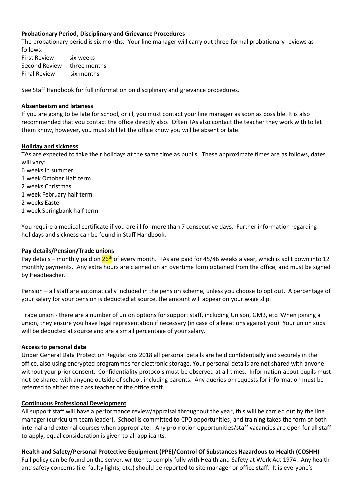#### **Probationary Period, Disciplinary and Grievance Procedures**

The probationary period is six months. Your line manager will carry out three formal probationary reviews as follows:

First Review - six weeks Second Review - three months Final Review - six months

See Staff Handbook for full information on disciplinary and grievance procedures.

#### **Absenteeism and lateness**

If you are going to be late for school, or ill, you must contact your line manager as soon as possible. It is also recommended that you contact the office directly also. Often TAs also contact the teacher they work with to let them know, however, you must still let the office know you will be absent or late.

#### **Holiday and sickness**

TAs are expected to take their holidays at the same time as pupils. These approximate times are as follows, dates will vary:

6 weeks in summer 1 week October Half term 2 weeks Christmas 1 week February half term 2 weeks Easter 1 week Springbank half term

You require a medical certificate if you are ill for more than 7 consecutive days. Further information regarding holidays and sickness can be found in Staff Handbook.

#### **Pay details/Pension/Trade unions**

Pay details – monthly paid on 26<sup>th</sup> of every month. TAs are paid for 45/46 weeks a year, which is split down into 12 monthly payments. Any extra hours are claimed on an overtime form obtained from the office, and must be signed by Headteacher.

Pension – all staff are automatically included in the pension scheme, unless you choose to opt out. A percentage of your salary for your pension is deducted at source, the amount will appear on your wage slip.

Trade union - there are a number of union options for support staff, including Unison, GMB, etc. When joining a union, they ensure you have legal representation if necessary (in case of allegations against you). Your union subs will be deducted at source and are a small percentage of your salary.

#### **Access to personal data**

Under General Data Protection Regulations 2018 all personal details are held confidentially and securely in the office, also using encrypted programmes for electronic storage. Your personal details are not shared with anyone without your prior consent. Confidentiality protocols must be observed at all times. Information about pupils must not be shared with anyone outside of school, including parents. Any queries or requests for information must be referred to either the class teacher or the office staff.

#### **Continuous Professional Development**

All support staff will have a performance review/appraisal throughout the year, this will be carried out by the line manager (curriculum team leader). School is committed to CPD opportunities, and training takes the form of both internal and external courses when appropriate. Any promotion opportunities/staff vacancies are open for all staff to apply, equal consideration is given to all applicants.

**Health and Safety/Personal Protective Equipment (PPE)/Control Of Substances Hazardous to Health (COSHH)** Full policy can be found on the server, written to comply fully with Health and Safety at Work Act 1974. Any health and safety concerns (i.e. faulty lights, etc.) should be reported to site manager or office staff. It is everyone's